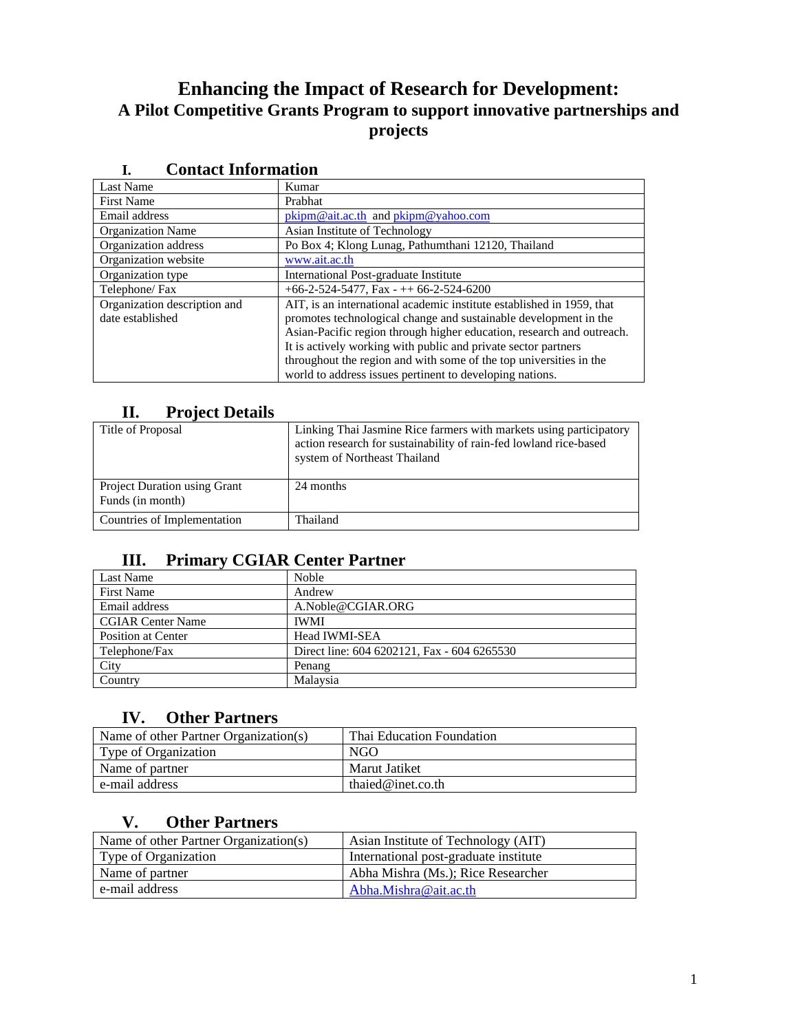# **Enhancing the Impact of Research for Development: A Pilot Competitive Grants Program to support innovative partnerships and projects**

| <br>Comaci mnoi mation       |                                                                       |  |  |
|------------------------------|-----------------------------------------------------------------------|--|--|
| Last Name                    | Kumar                                                                 |  |  |
| <b>First Name</b>            | Prabhat                                                               |  |  |
| Email address                | pkipm@ait.ac.th and pkipm@yahoo.com                                   |  |  |
| <b>Organization Name</b>     | Asian Institute of Technology                                         |  |  |
| Organization address         | Po Box 4; Klong Lunag, Pathumthani 12120, Thailand                    |  |  |
| Organization website         | www.ait.ac.th                                                         |  |  |
| Organization type            | International Post-graduate Institute                                 |  |  |
| Telephone/Fax                | $+66-2-524-5477$ , Fax $-++66-2-524-6200$                             |  |  |
| Organization description and | AIT, is an international academic institute established in 1959, that |  |  |
| date established             | promotes technological change and sustainable development in the      |  |  |
|                              | Asian-Pacific region through higher education, research and outreach. |  |  |
|                              | It is actively working with public and private sector partners        |  |  |
|                              | throughout the region and with some of the top universities in the    |  |  |
|                              | world to address issues pertinent to developing nations.              |  |  |

# **I. Contact Information**

## **II. Project Details**

| Title of Proposal                                       | Linking Thai Jasmine Rice farmers with markets using participatory<br>action research for sustainability of rain-fed lowland rice-based<br>system of Northeast Thailand |
|---------------------------------------------------------|-------------------------------------------------------------------------------------------------------------------------------------------------------------------------|
| <b>Project Duration using Grant</b><br>Funds (in month) | 24 months                                                                                                                                                               |
| Countries of Implementation                             | Thailand                                                                                                                                                                |

## **III. Primary CGIAR Center Partner**

| Last Name                | Noble                                       |
|--------------------------|---------------------------------------------|
| <b>First Name</b>        | Andrew                                      |
| Email address            | A.Noble@CGIAR.ORG                           |
| <b>CGIAR Center Name</b> | <b>IWMI</b>                                 |
| Position at Center       | <b>Head IWMI-SEA</b>                        |
| Telephone/Fax            | Direct line: 604 6202121, Fax - 604 6265530 |
| City                     | Penang                                      |
| Country                  | Malaysia                                    |

## **IV. Other Partners**

| Name of other Partner Organization(s) | Thai Education Foundation |
|---------------------------------------|---------------------------|
| Type of Organization                  | NGO                       |
| Name of partner                       | Marut Jatiket             |
| e-mail address                        | thaied@inet.co.th         |

## **V. Other Partners**

| Name of other Partner Organization(s) | Asian Institute of Technology (AIT)   |
|---------------------------------------|---------------------------------------|
| Type of Organization                  | International post-graduate institute |
| Name of partner                       | Abha Mishra (Ms.); Rice Researcher    |
| e-mail address                        | Abha.Mishra@ait.ac.th                 |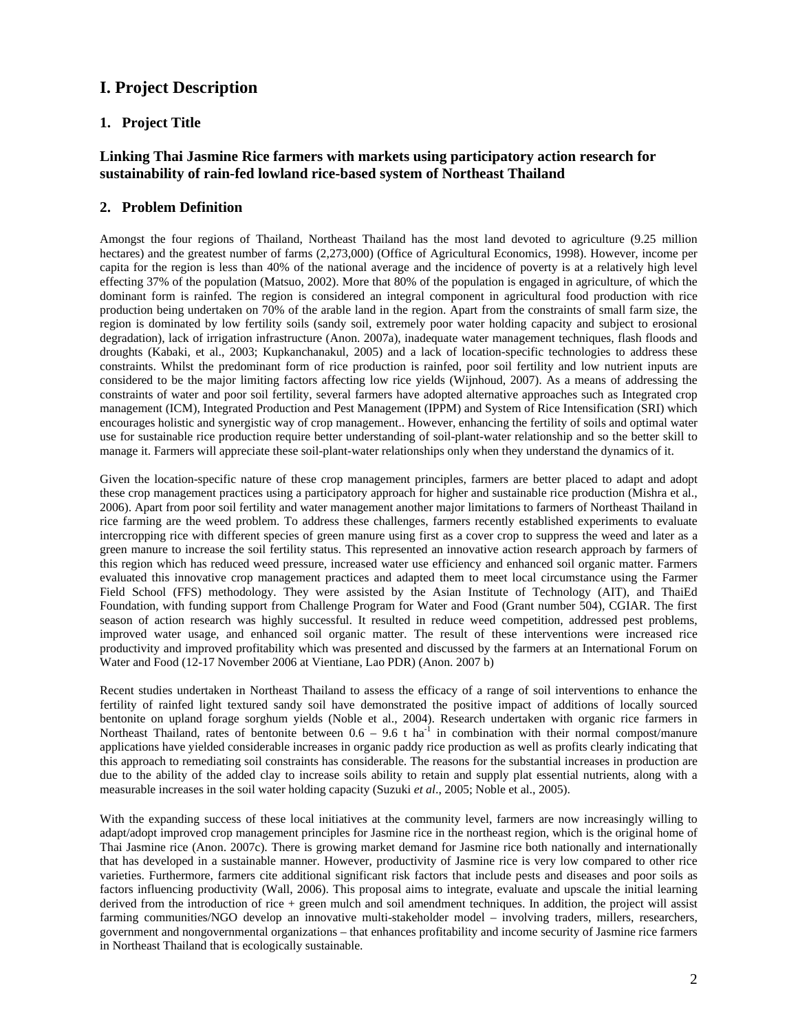## **I. Project Description**

## **1. Project Title**

### **Linking Thai Jasmine Rice farmers with markets using participatory action research for sustainability of rain-fed lowland rice-based system of Northeast Thailand**

### **2. Problem Definition**

Amongst the four regions of Thailand, Northeast Thailand has the most land devoted to agriculture (9.25 million hectares) and the greatest number of farms (2,273,000) (Office of Agricultural Economics, 1998). However, income per capita for the region is less than 40% of the national average and the incidence of poverty is at a relatively high level effecting 37% of the population (Matsuo, 2002). More that 80% of the population is engaged in agriculture, of which the dominant form is rainfed. The region is considered an integral component in agricultural food production with rice production being undertaken on 70% of the arable land in the region. Apart from the constraints of small farm size, the region is dominated by low fertility soils (sandy soil, extremely poor water holding capacity and subject to erosional degradation), lack of irrigation infrastructure (Anon. 2007a), inadequate water management techniques, flash floods and droughts (Kabaki, et al., 2003; Kupkanchanakul, 2005) and a lack of location-specific technologies to address these constraints. Whilst the predominant form of rice production is rainfed, poor soil fertility and low nutrient inputs are considered to be the major limiting factors affecting low rice yields (Wijnhoud, 2007). As a means of addressing the constraints of water and poor soil fertility, several farmers have adopted alternative approaches such as Integrated crop management (ICM), Integrated Production and Pest Management (IPPM) and System of Rice Intensification (SRI) which encourages holistic and synergistic way of crop management.. However, enhancing the fertility of soils and optimal water use for sustainable rice production require better understanding of soil-plant-water relationship and so the better skill to manage it. Farmers will appreciate these soil-plant-water relationships only when they understand the dynamics of it.

Given the location-specific nature of these crop management principles, farmers are better placed to adapt and adopt these crop management practices using a participatory approach for higher and sustainable rice production (Mishra et al., 2006). Apart from poor soil fertility and water management another major limitations to farmers of Northeast Thailand in rice farming are the weed problem. To address these challenges, farmers recently established experiments to evaluate intercropping rice with different species of green manure using first as a cover crop to suppress the weed and later as a green manure to increase the soil fertility status. This represented an innovative action research approach by farmers of this region which has reduced weed pressure, increased water use efficiency and enhanced soil organic matter. Farmers evaluated this innovative crop management practices and adapted them to meet local circumstance using the Farmer Field School (FFS) methodology. They were assisted by the Asian Institute of Technology (AIT), and ThaiEd Foundation, with funding support from Challenge Program for Water and Food (Grant number 504), CGIAR. The first season of action research was highly successful. It resulted in reduce weed competition, addressed pest problems, improved water usage, and enhanced soil organic matter. The result of these interventions were increased rice productivity and improved profitability which was presented and discussed by the farmers at an International Forum on Water and Food (12-17 November 2006 at Vientiane, Lao PDR) (Anon. 2007 b)

Recent studies undertaken in Northeast Thailand to assess the efficacy of a range of soil interventions to enhance the fertility of rainfed light textured sandy soil have demonstrated the positive impact of additions of locally sourced bentonite on upland forage sorghum yields (Noble et al., 2004). Research undertaken with organic rice farmers in Northeast Thailand, rates of bentonite between  $0.6 - 9.6$  t ha<sup>-1</sup> in combination with their normal compost/manure applications have yielded considerable increases in organic paddy rice production as well as profits clearly indicating that this approach to remediating soil constraints has considerable. The reasons for the substantial increases in production are due to the ability of the added clay to increase soils ability to retain and supply plat essential nutrients, along with a measurable increases in the soil water holding capacity (Suzuki *et al*., 2005; Noble et al., 2005).

With the expanding success of these local initiatives at the community level, farmers are now increasingly willing to adapt/adopt improved crop management principles for Jasmine rice in the northeast region, which is the original home of Thai Jasmine rice (Anon. 2007c). There is growing market demand for Jasmine rice both nationally and internationally that has developed in a sustainable manner. However, productivity of Jasmine rice is very low compared to other rice varieties. Furthermore, farmers cite additional significant risk factors that include pests and diseases and poor soils as factors influencing productivity (Wall, 2006). This proposal aims to integrate, evaluate and upscale the initial learning derived from the introduction of rice + green mulch and soil amendment techniques. In addition, the project will assist farming communities/NGO develop an innovative multi-stakeholder model – involving traders, millers, researchers, government and nongovernmental organizations – that enhances profitability and income security of Jasmine rice farmers in Northeast Thailand that is ecologically sustainable.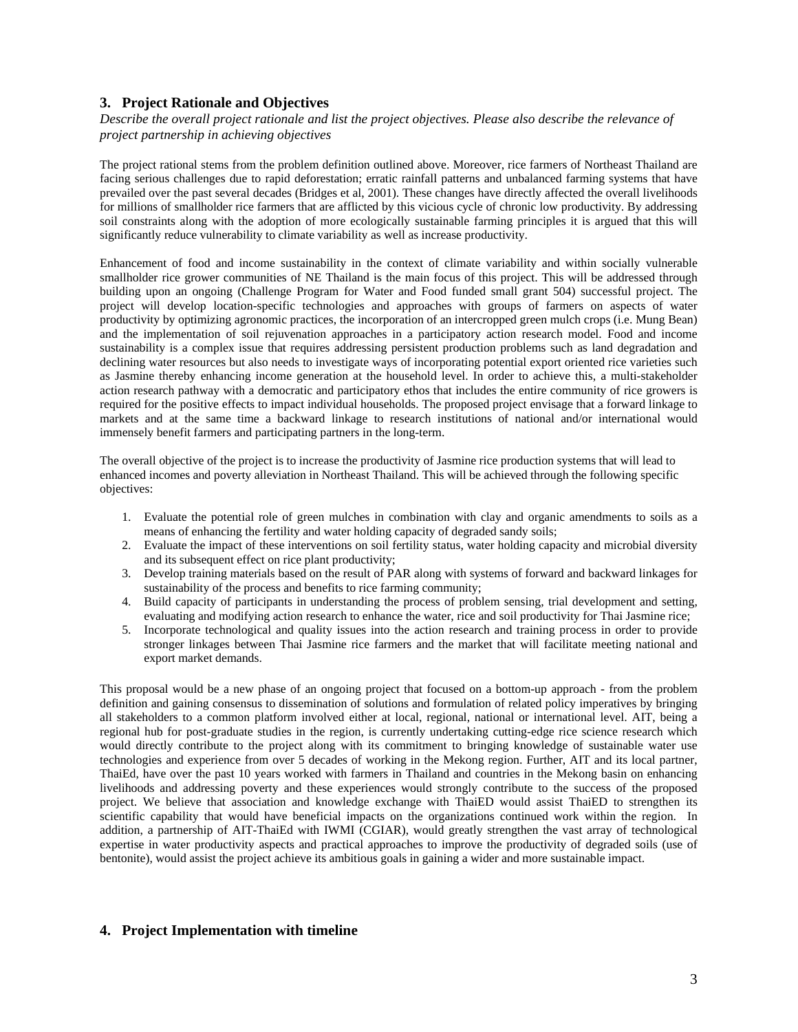#### **3. Project Rationale and Objectives**

*Describe the overall project rationale and list the project objectives. Please also describe the relevance of project partnership in achieving objectives* 

The project rational stems from the problem definition outlined above. Moreover, rice farmers of Northeast Thailand are facing serious challenges due to rapid deforestation; erratic rainfall patterns and unbalanced farming systems that have prevailed over the past several decades (Bridges et al, 2001). These changes have directly affected the overall livelihoods for millions of smallholder rice farmers that are afflicted by this vicious cycle of chronic low productivity. By addressing soil constraints along with the adoption of more ecologically sustainable farming principles it is argued that this will significantly reduce vulnerability to climate variability as well as increase productivity.

Enhancement of food and income sustainability in the context of climate variability and within socially vulnerable smallholder rice grower communities of NE Thailand is the main focus of this project. This will be addressed through building upon an ongoing (Challenge Program for Water and Food funded small grant 504) successful project. The project will develop location-specific technologies and approaches with groups of farmers on aspects of water productivity by optimizing agronomic practices, the incorporation of an intercropped green mulch crops (i.e. Mung Bean) and the implementation of soil rejuvenation approaches in a participatory action research model. Food and income sustainability is a complex issue that requires addressing persistent production problems such as land degradation and declining water resources but also needs to investigate ways of incorporating potential export oriented rice varieties such as Jasmine thereby enhancing income generation at the household level. In order to achieve this, a multi-stakeholder action research pathway with a democratic and participatory ethos that includes the entire community of rice growers is required for the positive effects to impact individual households. The proposed project envisage that a forward linkage to markets and at the same time a backward linkage to research institutions of national and/or international would immensely benefit farmers and participating partners in the long-term.

The overall objective of the project is to increase the productivity of Jasmine rice production systems that will lead to enhanced incomes and poverty alleviation in Northeast Thailand. This will be achieved through the following specific objectives:

- 1. Evaluate the potential role of green mulches in combination with clay and organic amendments to soils as a means of enhancing the fertility and water holding capacity of degraded sandy soils;
- 2. Evaluate the impact of these interventions on soil fertility status, water holding capacity and microbial diversity and its subsequent effect on rice plant productivity;
- 3. Develop training materials based on the result of PAR along with systems of forward and backward linkages for sustainability of the process and benefits to rice farming community;
- 4. Build capacity of participants in understanding the process of problem sensing, trial development and setting, evaluating and modifying action research to enhance the water, rice and soil productivity for Thai Jasmine rice;
- 5. Incorporate technological and quality issues into the action research and training process in order to provide stronger linkages between Thai Jasmine rice farmers and the market that will facilitate meeting national and export market demands.

This proposal would be a new phase of an ongoing project that focused on a bottom-up approach - from the problem definition and gaining consensus to dissemination of solutions and formulation of related policy imperatives by bringing all stakeholders to a common platform involved either at local, regional, national or international level. AIT, being a regional hub for post-graduate studies in the region, is currently undertaking cutting-edge rice science research which would directly contribute to the project along with its commitment to bringing knowledge of sustainable water use technologies and experience from over 5 decades of working in the Mekong region. Further, AIT and its local partner, ThaiEd, have over the past 10 years worked with farmers in Thailand and countries in the Mekong basin on enhancing livelihoods and addressing poverty and these experiences would strongly contribute to the success of the proposed project. We believe that association and knowledge exchange with ThaiED would assist ThaiED to strengthen its scientific capability that would have beneficial impacts on the organizations continued work within the region. In addition, a partnership of AIT-ThaiEd with IWMI (CGIAR), would greatly strengthen the vast array of technological expertise in water productivity aspects and practical approaches to improve the productivity of degraded soils (use of bentonite), would assist the project achieve its ambitious goals in gaining a wider and more sustainable impact.

#### **4. Project Implementation with timeline**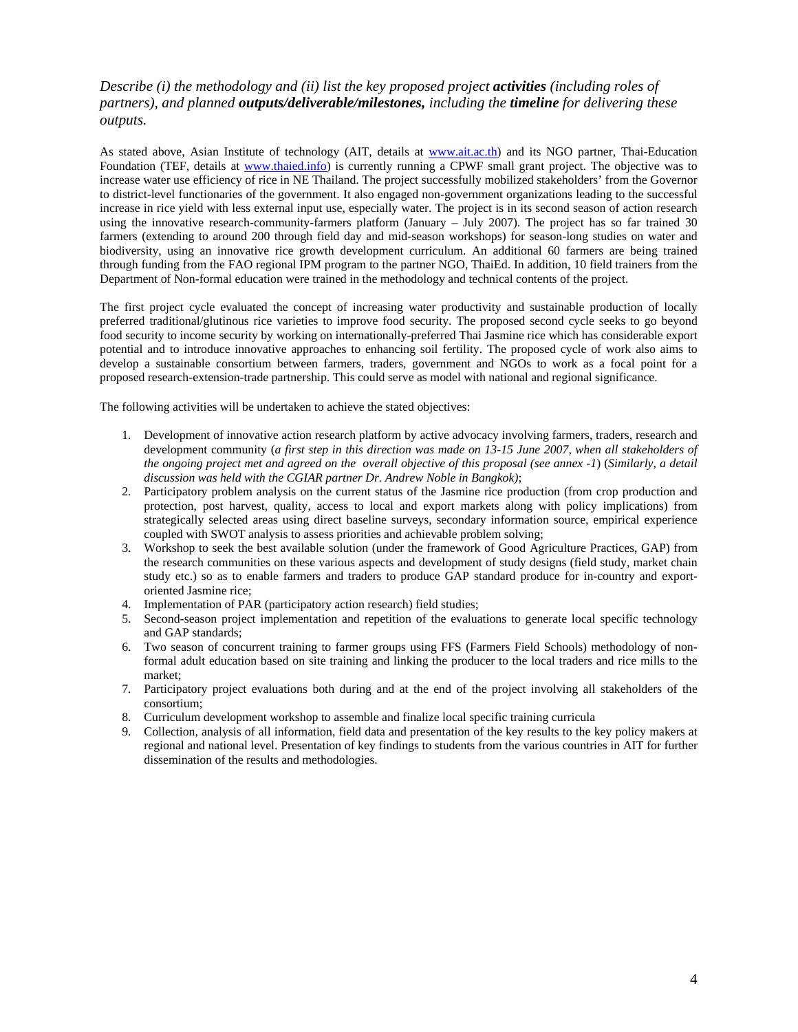## *Describe (i) the methodology and (ii) list the key proposed project activities (including roles of partners), and planned outputs/deliverable/milestones, including the timeline for delivering these outputs.*

As stated above, Asian Institute of technology (AIT, details at www.ait.ac.th) and its NGO partner, Thai-Education Foundation (TEF, details at www.thaied.info) is currently running a CPWF small grant project. The objective was to increase water use efficiency of rice in NE Thailand. The project successfully mobilized stakeholders' from the Governor to district-level functionaries of the government. It also engaged non-government organizations leading to the successful increase in rice yield with less external input use, especially water. The project is in its second season of action research using the innovative research-community-farmers platform (January – July 2007). The project has so far trained 30 farmers (extending to around 200 through field day and mid-season workshops) for season-long studies on water and biodiversity, using an innovative rice growth development curriculum. An additional 60 farmers are being trained through funding from the FAO regional IPM program to the partner NGO, ThaiEd. In addition, 10 field trainers from the Department of Non-formal education were trained in the methodology and technical contents of the project.

The first project cycle evaluated the concept of increasing water productivity and sustainable production of locally preferred traditional/glutinous rice varieties to improve food security. The proposed second cycle seeks to go beyond food security to income security by working on internationally-preferred Thai Jasmine rice which has considerable export potential and to introduce innovative approaches to enhancing soil fertility. The proposed cycle of work also aims to develop a sustainable consortium between farmers, traders, government and NGOs to work as a focal point for a proposed research-extension-trade partnership. This could serve as model with national and regional significance.

The following activities will be undertaken to achieve the stated objectives:

- 1. Development of innovative action research platform by active advocacy involving farmers, traders, research and development community (*a first step in this direction was made on 13-15 June 2007, when all stakeholders of the ongoing project met and agreed on the overall objective of this proposal (see annex -1*) (*Similarly, a detail discussion was held with the CGIAR partner Dr. Andrew Noble in Bangkok)*;
- 2. Participatory problem analysis on the current status of the Jasmine rice production (from crop production and protection, post harvest, quality, access to local and export markets along with policy implications) from strategically selected areas using direct baseline surveys, secondary information source, empirical experience coupled with SWOT analysis to assess priorities and achievable problem solving;
- 3. Workshop to seek the best available solution (under the framework of Good Agriculture Practices, GAP) from the research communities on these various aspects and development of study designs (field study, market chain study etc.) so as to enable farmers and traders to produce GAP standard produce for in-country and exportoriented Jasmine rice;
- 4. Implementation of PAR (participatory action research) field studies;
- 5. Second-season project implementation and repetition of the evaluations to generate local specific technology and GAP standards;
- 6. Two season of concurrent training to farmer groups using FFS (Farmers Field Schools) methodology of nonformal adult education based on site training and linking the producer to the local traders and rice mills to the market;
- 7. Participatory project evaluations both during and at the end of the project involving all stakeholders of the consortium;
- 8. Curriculum development workshop to assemble and finalize local specific training curricula
- 9. Collection, analysis of all information, field data and presentation of the key results to the key policy makers at regional and national level. Presentation of key findings to students from the various countries in AIT for further dissemination of the results and methodologies.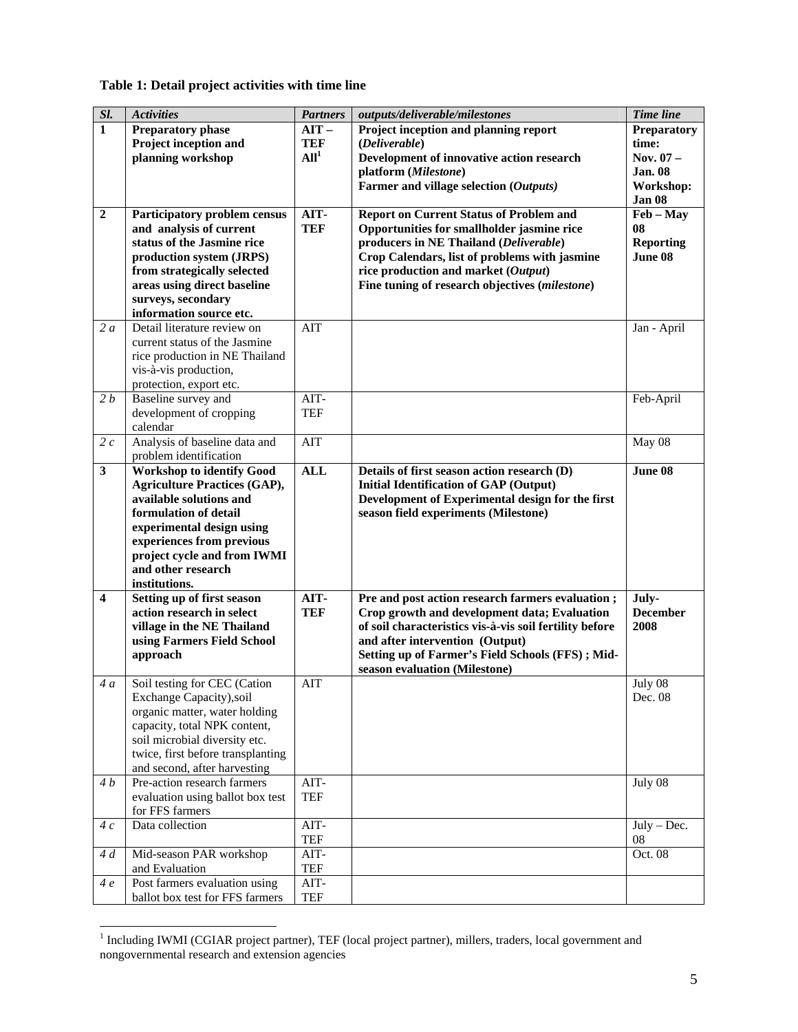## **Table 1: Detail project activities with time line**

| Sl.                     | <b>Activities</b>                                        | <b>Partners</b>  | outputs/deliverable/milestones                          | <b>Time</b> line          |
|-------------------------|----------------------------------------------------------|------------------|---------------------------------------------------------|---------------------------|
| $\mathbf{1}$            | Preparatory phase                                        | $AIT -$          | Project inception and planning report                   | Preparatory               |
|                         | Project inception and                                    | <b>TEF</b>       | (Deliverable)                                           | time:                     |
|                         | planning workshop                                        | All <sup>1</sup> | Development of innovative action research               | Nov. 07-                  |
|                         |                                                          |                  | platform (Milestone)                                    | <b>Jan. 08</b>            |
|                         |                                                          |                  | Farmer and village selection (Outputs)                  | Workshop:                 |
|                         |                                                          |                  |                                                         | Jan 08                    |
| $\overline{2}$          | Participatory problem census                             | AIT-             | <b>Report on Current Status of Problem and</b>          | $\text{Feb} - \text{May}$ |
|                         | and analysis of current                                  | <b>TEF</b>       | Opportunities for smallholder jasmine rice              | 08                        |
|                         | status of the Jasmine rice                               |                  | producers in NE Thailand (Deliverable)                  | <b>Reporting</b>          |
|                         | production system (JRPS)                                 |                  | Crop Calendars, list of problems with jasmine           | June 08                   |
|                         | from strategically selected                              |                  | rice production and market (Output)                     |                           |
|                         | areas using direct baseline                              |                  | Fine tuning of research objectives (milestone)          |                           |
|                         | surveys, secondary<br>information source etc.            |                  |                                                         |                           |
| 2a                      | Detail literature review on                              | AIT              |                                                         | Jan - April               |
|                         | current status of the Jasmine                            |                  |                                                         |                           |
|                         | rice production in NE Thailand                           |                  |                                                         |                           |
|                         | vis-à-vis production,                                    |                  |                                                         |                           |
|                         | protection, export etc.                                  |                  |                                                         |                           |
| 2 b                     | Baseline survey and                                      | $AIT-$           |                                                         | Feb-April                 |
|                         | development of cropping                                  | <b>TEF</b>       |                                                         |                           |
|                         | calendar                                                 |                  |                                                         |                           |
| 2c                      | Analysis of baseline data and                            | AIT              |                                                         | May 08                    |
|                         | problem identification                                   |                  |                                                         |                           |
| $\mathbf{3}$            | <b>Workshop to identify Good</b>                         | <b>ALL</b>       | Details of first season action research (D)             | June 08                   |
|                         | <b>Agriculture Practices (GAP),</b>                      |                  | <b>Initial Identification of GAP (Output)</b>           |                           |
|                         | available solutions and                                  |                  | Development of Experimental design for the first        |                           |
|                         | formulation of detail                                    |                  | season field experiments (Milestone)                    |                           |
|                         | experimental design using<br>experiences from previous   |                  |                                                         |                           |
|                         | project cycle and from IWMI                              |                  |                                                         |                           |
|                         | and other research                                       |                  |                                                         |                           |
|                         | institutions.                                            |                  |                                                         |                           |
| $\overline{\mathbf{4}}$ | Setting up of first season                               | AIT-             | Pre and post action research farmers evaluation;        | July-                     |
|                         | action research in select                                | <b>TEF</b>       | Crop growth and development data; Evaluation            | <b>December</b>           |
|                         | village in the NE Thailand                               |                  | of soil characteristics vis-à-vis soil fertility before | 2008                      |
|                         | using Farmers Field School                               |                  | and after intervention (Output)                         |                           |
|                         | approach                                                 |                  | Setting up of Farmer's Field Schools (FFS); Mid-        |                           |
|                         |                                                          |                  | season evaluation (Milestone)                           |                           |
| 4a                      | Soil testing for CEC (Cation<br>Exchange Capacity), soil | AIT              |                                                         | July 08<br>Dec. 08        |
|                         | organic matter, water holding                            |                  |                                                         |                           |
|                         | capacity, total NPK content,                             |                  |                                                         |                           |
|                         | soil microbial diversity etc.                            |                  |                                                         |                           |
|                         | twice, first before transplanting                        |                  |                                                         |                           |
|                         | and second, after harvesting                             |                  |                                                         |                           |
| 4 <i>b</i>              | Pre-action research farmers                              | $AIT-$           |                                                         | July 08                   |
|                         | evaluation using ballot box test                         | <b>TEF</b>       |                                                         |                           |
|                         | for FFS farmers                                          |                  |                                                         |                           |
| 4c                      | Data collection                                          | AIT-             |                                                         | $July - Dec.$             |
|                         |                                                          | <b>TEF</b>       |                                                         | 08                        |
| 4d                      | Mid-season PAR workshop                                  | AIT-             |                                                         | Oct. 08                   |
|                         | and Evaluation                                           | <b>TEF</b>       |                                                         |                           |
| 4e                      | Post farmers evaluation using                            | $AIT-$           |                                                         |                           |
|                         | ballot box test for FFS farmers                          | TEF              |                                                         |                           |

<sup>&</sup>lt;sup>1</sup> Including IWMI (CGIAR project partner), TEF (local project partner), millers, traders, local government and nongovernmental research and extension agencies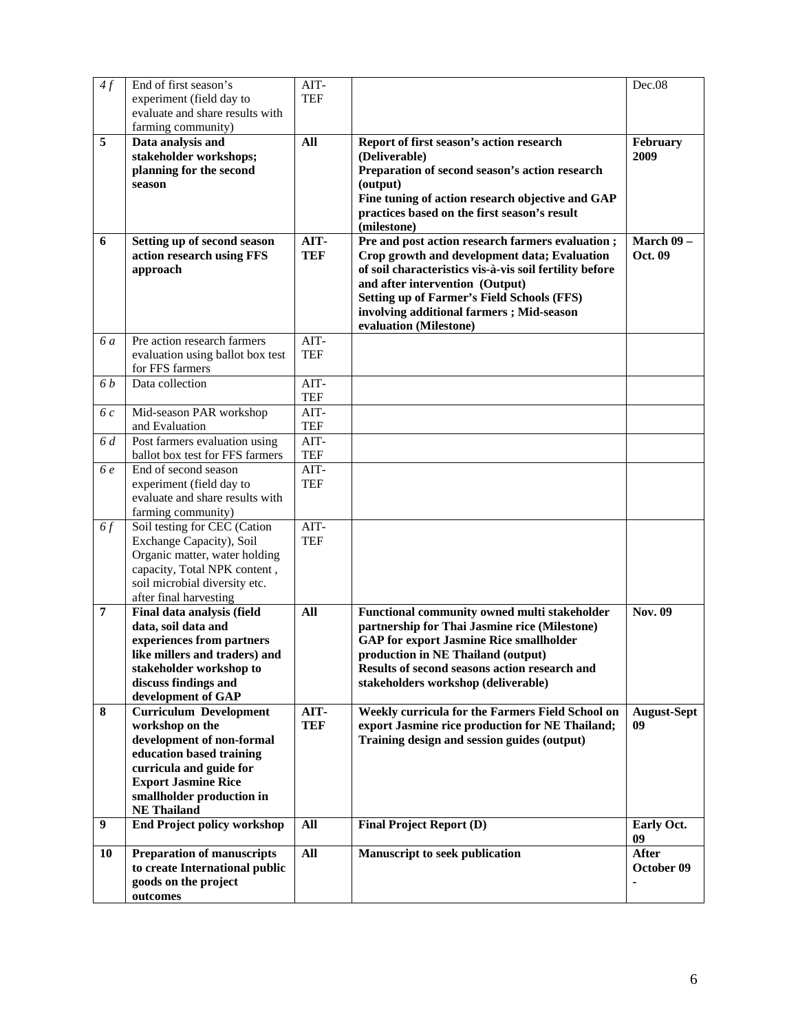| 4f             | End of first season's<br>experiment (field day to<br>evaluate and share results with<br>farming community)                                                                                                            | AIT-<br><b>TEF</b>   |                                                                                                                                                                                                                                                                                                                           | Dec.08                     |
|----------------|-----------------------------------------------------------------------------------------------------------------------------------------------------------------------------------------------------------------------|----------------------|---------------------------------------------------------------------------------------------------------------------------------------------------------------------------------------------------------------------------------------------------------------------------------------------------------------------------|----------------------------|
| 5              | Data analysis and<br>stakeholder workshops;<br>planning for the second<br>season                                                                                                                                      | All                  | Report of first season's action research<br>(Deliverable)<br>Preparation of second season's action research<br>(output)<br>Fine tuning of action research objective and GAP<br>practices based on the first season's result<br>(milestone)                                                                                | February<br>2009           |
| 6              | Setting up of second season<br>action research using FFS<br>approach                                                                                                                                                  | AIT-<br><b>TEF</b>   | Pre and post action research farmers evaluation;<br>Crop growth and development data; Evaluation<br>of soil characteristics vis-à-vis soil fertility before<br>and after intervention (Output)<br><b>Setting up of Farmer's Field Schools (FFS)</b><br>involving additional farmers; Mid-season<br>evaluation (Milestone) | March $09 -$<br>Oct. 09    |
| 6 a            | Pre action research farmers<br>evaluation using ballot box test<br>for FFS farmers                                                                                                                                    | AIT-<br><b>TEF</b>   |                                                                                                                                                                                                                                                                                                                           |                            |
| 6 <i>b</i>     | Data collection                                                                                                                                                                                                       | AIT-<br><b>TEF</b>   |                                                                                                                                                                                                                                                                                                                           |                            |
| 6c             | Mid-season PAR workshop<br>and Evaluation                                                                                                                                                                             | AIT-<br><b>TEF</b>   |                                                                                                                                                                                                                                                                                                                           |                            |
| 6 d            | Post farmers evaluation using<br>ballot box test for FFS farmers                                                                                                                                                      | $AIT-$<br><b>TEF</b> |                                                                                                                                                                                                                                                                                                                           |                            |
| 6 e            | End of second season<br>experiment (field day to<br>evaluate and share results with<br>farming community)                                                                                                             | AIT-<br><b>TEF</b>   |                                                                                                                                                                                                                                                                                                                           |                            |
| 6f             | Soil testing for CEC (Cation<br>Exchange Capacity), Soil<br>Organic matter, water holding<br>capacity, Total NPK content,<br>soil microbial diversity etc.<br>after final harvesting                                  | $AIT-$<br><b>TEF</b> |                                                                                                                                                                                                                                                                                                                           |                            |
| $\overline{7}$ | Final data analysis (field<br>data, soil data and<br>experiences from partners<br>like millers and traders) and<br>stakeholder workshop to<br>discuss findings and<br>development of GAP                              | All                  | Functional community owned multi stakeholder<br>partnership for Thai Jasmine rice (Milestone)<br><b>GAP</b> for export Jasmine Rice smallholder<br>production in NE Thailand (output)<br>Results of second seasons action research and<br>stakeholders workshop (deliverable)                                             | <b>Nov. 09</b>             |
| 8              | <b>Curriculum Development</b><br>workshop on the<br>development of non-formal<br>education based training<br>curricula and guide for<br><b>Export Jasmine Rice</b><br>smallholder production in<br><b>NE</b> Thailand | AIT-<br><b>TEF</b>   | Weekly curricula for the Farmers Field School on<br>export Jasmine rice production for NE Thailand;<br>Training design and session guides (output)                                                                                                                                                                        | <b>August-Sept</b><br>09   |
| 9              | <b>End Project policy workshop</b>                                                                                                                                                                                    | All                  | <b>Final Project Report (D)</b>                                                                                                                                                                                                                                                                                           | Early Oct.<br>09           |
| <b>10</b>      | <b>Preparation of manuscripts</b><br>to create International public<br>goods on the project<br>outcomes                                                                                                               | All                  | Manuscript to seek publication                                                                                                                                                                                                                                                                                            | <b>After</b><br>October 09 |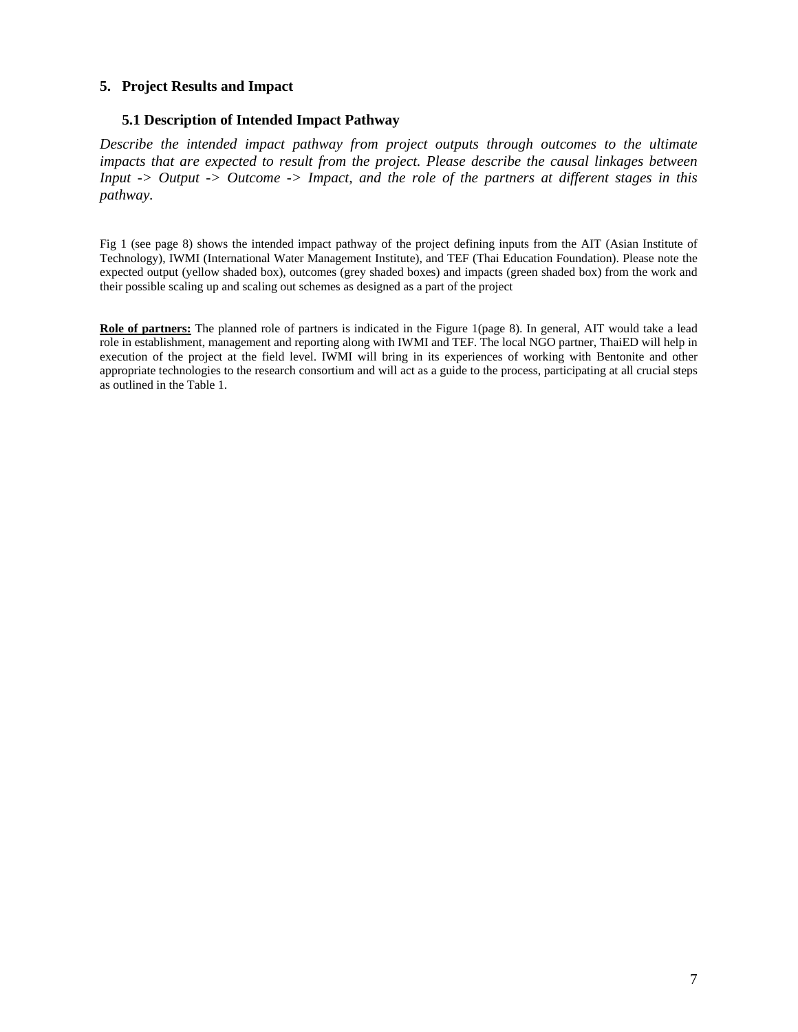### **5. Project Results and Impact**

#### **5.1 Description of Intended Impact Pathway**

*Describe the intended impact pathway from project outputs through outcomes to the ultimate impacts that are expected to result from the project. Please describe the causal linkages between Input -> Output -> Outcome -> Impact, and the role of the partners at different stages in this pathway.* 

Fig 1 (see page 8) shows the intended impact pathway of the project defining inputs from the AIT (Asian Institute of Technology), IWMI (International Water Management Institute), and TEF (Thai Education Foundation). Please note the expected output (yellow shaded box), outcomes (grey shaded boxes) and impacts (green shaded box) from the work and their possible scaling up and scaling out schemes as designed as a part of the project

**Role of partners:** The planned role of partners is indicated in the Figure 1(page 8). In general, AIT would take a lead role in establishment, management and reporting along with IWMI and TEF. The local NGO partner, ThaiED will help in execution of the project at the field level. IWMI will bring in its experiences of working with Bentonite and other appropriate technologies to the research consortium and will act as a guide to the process, participating at all crucial steps as outlined in the Table 1.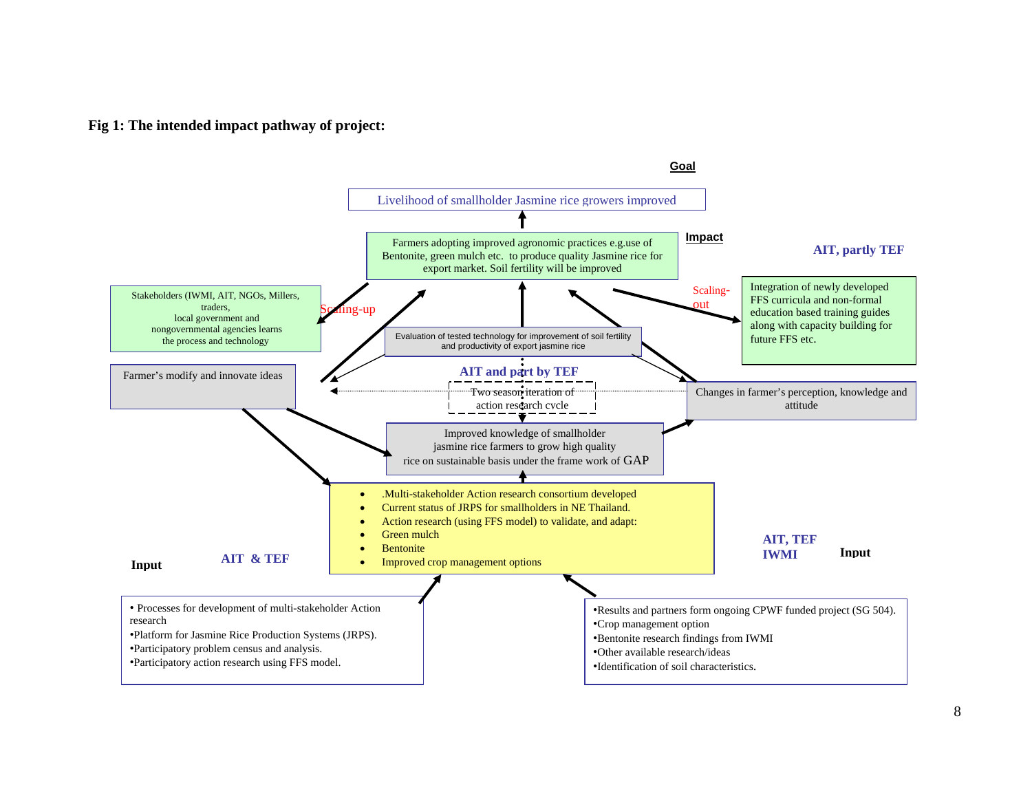#### **Fig 1: The intended impact pathway of project:**

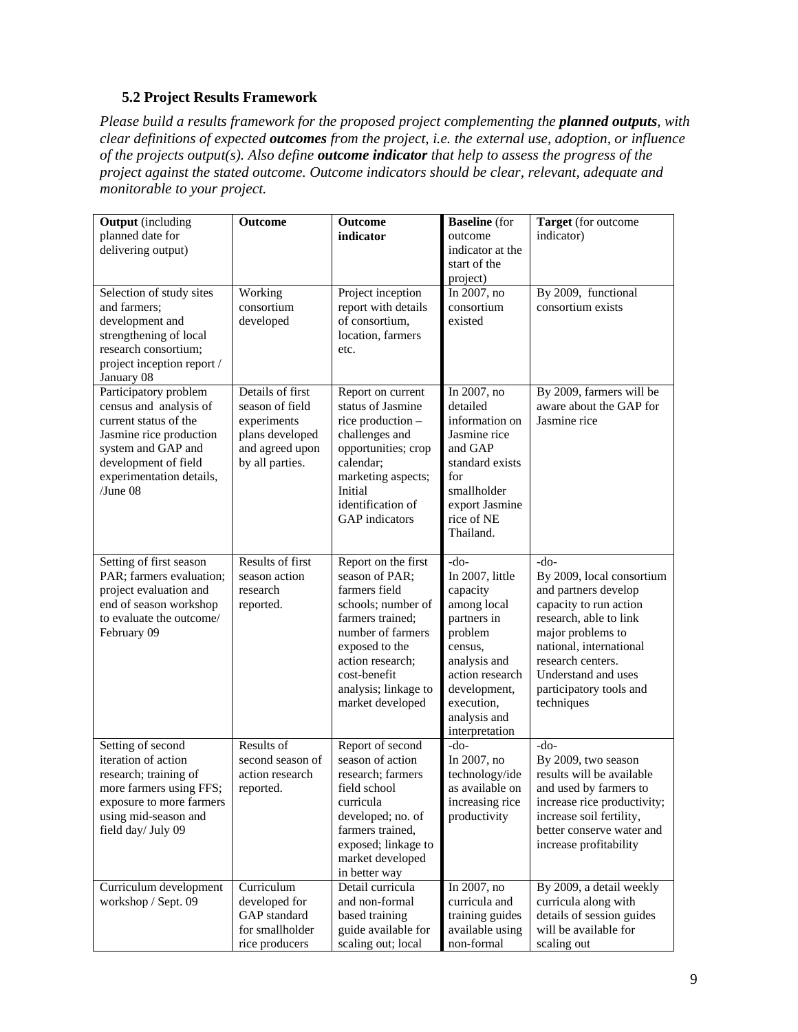## **5.2 Project Results Framework**

*Please build a results framework for the proposed project complementing the planned outputs, with clear definitions of expected outcomes from the project, i.e. the external use, adoption, or influence of the projects output(s). Also define outcome indicator that help to assess the progress of the project against the stated outcome. Outcome indicators should be clear, relevant, adequate and monitorable to your project.* 

| <b>Output</b> (including<br>planned date for<br>delivering output)                                                                                                                           | Outcome                                                                                                     | Outcome<br>indicator                                                                                                                                                                                                    | <b>Baseline</b> (for<br>outcome<br>indicator at the<br>start of the<br>project)                                                                                                              | Target (for outcome<br>indicator)                                                                                                                                                                                                                    |
|----------------------------------------------------------------------------------------------------------------------------------------------------------------------------------------------|-------------------------------------------------------------------------------------------------------------|-------------------------------------------------------------------------------------------------------------------------------------------------------------------------------------------------------------------------|----------------------------------------------------------------------------------------------------------------------------------------------------------------------------------------------|------------------------------------------------------------------------------------------------------------------------------------------------------------------------------------------------------------------------------------------------------|
| Selection of study sites<br>and farmers;<br>development and<br>strengthening of local<br>research consortium;<br>project inception report /<br>January 08                                    | Working<br>consortium<br>developed                                                                          | Project inception<br>report with details<br>of consortium,<br>location, farmers<br>etc.                                                                                                                                 | In 2007, no<br>consortium<br>existed                                                                                                                                                         | By 2009, functional<br>consortium exists                                                                                                                                                                                                             |
| Participatory problem<br>census and analysis of<br>current status of the<br>Jasmine rice production<br>system and GAP and<br>development of field<br>experimentation details,<br>$/$ June 08 | Details of first<br>season of field<br>experiments<br>plans developed<br>and agreed upon<br>by all parties. | Report on current<br>status of Jasmine<br>rice production -<br>challenges and<br>opportunities; crop<br>calendar;<br>marketing aspects;<br>Initial<br>identification of<br><b>GAP</b> indicators                        | In 2007, no<br>detailed<br>information on<br>Jasmine rice<br>and GAP<br>standard exists<br>for<br>smallholder<br>export Jasmine<br>rice of NE<br>Thailand.                                   | By 2009, farmers will be<br>aware about the GAP for<br>Jasmine rice                                                                                                                                                                                  |
| Setting of first season<br>PAR; farmers evaluation;<br>project evaluation and<br>end of season workshop<br>to evaluate the outcome/<br>February 09                                           | <b>Results of first</b><br>season action<br>research<br>reported.                                           | Report on the first<br>season of PAR:<br>farmers field<br>schools; number of<br>farmers trained;<br>number of farmers<br>exposed to the<br>action research;<br>cost-benefit<br>analysis; linkage to<br>market developed | $-do-$<br>In 2007, little<br>capacity<br>among local<br>partners in<br>problem<br>census,<br>analysis and<br>action research<br>development,<br>execution,<br>analysis and<br>interpretation | $-do-$<br>By 2009, local consortium<br>and partners develop<br>capacity to run action<br>research, able to link<br>major problems to<br>national, international<br>research centers.<br>Understand and uses<br>participatory tools and<br>techniques |
| Setting of second<br>iteration of action<br>research; training of<br>more farmers using FFS;<br>exposure to more farmers<br>using mid-season and<br>field day/ July 09                       | Results of<br>second season of<br>action research<br>reported.                                              | Report of second<br>season of action<br>research; farmers<br>field school<br>curricula<br>developed; no. of<br>farmers trained,<br>exposed; linkage to<br>market developed<br>in better way                             | $-do-$<br>In 2007, no<br>technology/ide<br>as available on<br>increasing rice<br>productivity                                                                                                | $-do-$<br>By 2009, two season<br>results will be available<br>and used by farmers to<br>increase rice productivity;<br>increase soil fertility,<br>better conserve water and<br>increase profitability                                               |
| Curriculum development<br>workshop / Sept. 09                                                                                                                                                | Curriculum<br>developed for<br>GAP standard<br>for smallholder<br>rice producers                            | Detail curricula<br>and non-formal<br>based training<br>guide available for<br>scaling out; local                                                                                                                       | In 2007, no<br>curricula and<br>training guides<br>available using<br>non-formal                                                                                                             | By 2009, a detail weekly<br>curricula along with<br>details of session guides<br>will be available for<br>scaling out                                                                                                                                |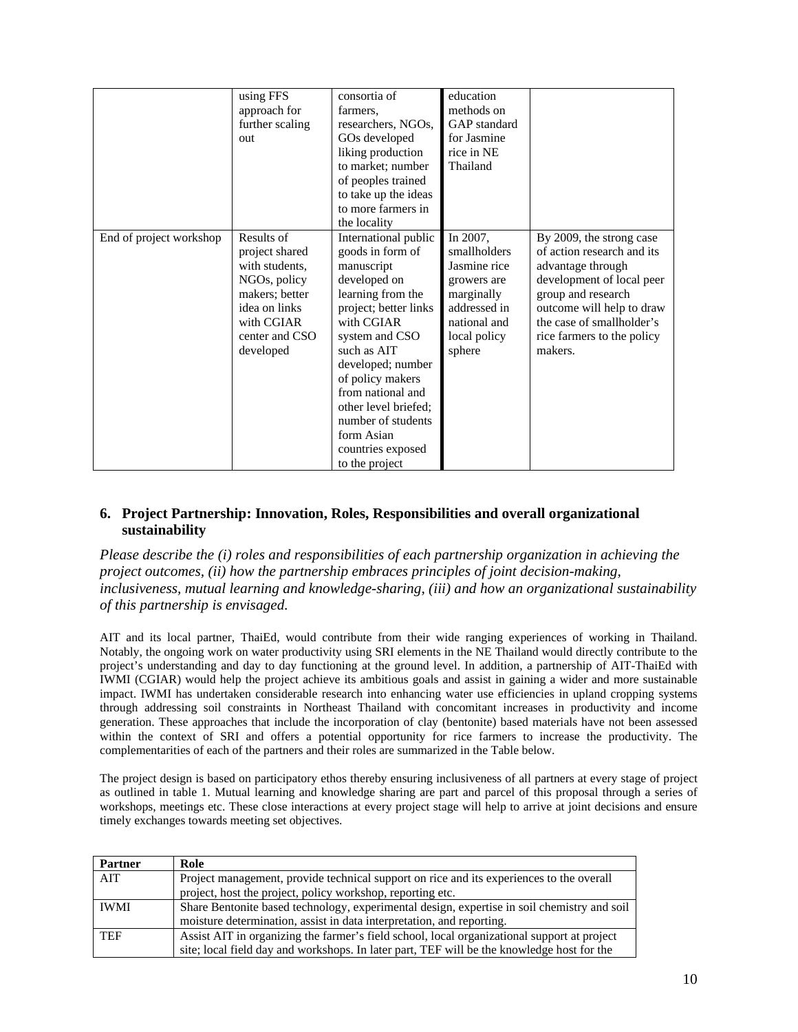|                         | using FFS<br>approach for<br>further scaling<br>out                                                                                            | consortia of<br>farmers.<br>researchers, NGOs,<br>GOs developed<br>liking production<br>to market; number<br>of peoples trained<br>to take up the ideas<br>to more farmers in<br>the locality                                                                                                                                        | education<br>methods on<br>GAP standard<br>for Jasmine<br>rice in NE<br>Thailand                                                |                                                                                                                                                                                                                                   |
|-------------------------|------------------------------------------------------------------------------------------------------------------------------------------------|--------------------------------------------------------------------------------------------------------------------------------------------------------------------------------------------------------------------------------------------------------------------------------------------------------------------------------------|---------------------------------------------------------------------------------------------------------------------------------|-----------------------------------------------------------------------------------------------------------------------------------------------------------------------------------------------------------------------------------|
| End of project workshop | Results of<br>project shared<br>with students.<br>NGOs, policy<br>makers; better<br>idea on links<br>with CGIAR<br>center and CSO<br>developed | International public<br>goods in form of<br>manuscript<br>developed on<br>learning from the<br>project; better links<br>with CGIAR<br>system and CSO<br>such as AIT<br>developed; number<br>of policy makers<br>from national and<br>other level briefed;<br>number of students<br>form Asian<br>countries exposed<br>to the project | In 2007,<br>smallholders<br>Jasmine rice<br>growers are<br>marginally<br>addressed in<br>national and<br>local policy<br>sphere | By 2009, the strong case<br>of action research and its<br>advantage through<br>development of local peer<br>group and research<br>outcome will help to draw<br>the case of smallholder's<br>rice farmers to the policy<br>makers. |

### **6. Project Partnership: Innovation, Roles, Responsibilities and overall organizational sustainability**

*Please describe the (i) roles and responsibilities of each partnership organization in achieving the project outcomes, (ii) how the partnership embraces principles of joint decision-making, inclusiveness, mutual learning and knowledge-sharing, (iii) and how an organizational sustainability of this partnership is envisaged.* 

AIT and its local partner, ThaiEd, would contribute from their wide ranging experiences of working in Thailand. Notably, the ongoing work on water productivity using SRI elements in the NE Thailand would directly contribute to the project's understanding and day to day functioning at the ground level. In addition, a partnership of AIT-ThaiEd with IWMI (CGIAR) would help the project achieve its ambitious goals and assist in gaining a wider and more sustainable impact. IWMI has undertaken considerable research into enhancing water use efficiencies in upland cropping systems through addressing soil constraints in Northeast Thailand with concomitant increases in productivity and income generation. These approaches that include the incorporation of clay (bentonite) based materials have not been assessed within the context of SRI and offers a potential opportunity for rice farmers to increase the productivity. The complementarities of each of the partners and their roles are summarized in the Table below.

The project design is based on participatory ethos thereby ensuring inclusiveness of all partners at every stage of project as outlined in table 1. Mutual learning and knowledge sharing are part and parcel of this proposal through a series of workshops, meetings etc. These close interactions at every project stage will help to arrive at joint decisions and ensure timely exchanges towards meeting set objectives.

| Partner     | Role                                                                                        |
|-------------|---------------------------------------------------------------------------------------------|
| AIT         | Project management, provide technical support on rice and its experiences to the overall    |
|             | project, host the project, policy workshop, reporting etc.                                  |
| <b>IWMI</b> | Share Bentonite based technology, experimental design, expertise in soil chemistry and soil |
|             | moisture determination, assist in data interpretation, and reporting.                       |
| <b>TEF</b>  | Assist AIT in organizing the farmer's field school, local organizational support at project |
|             | site; local field day and workshops. In later part, TEF will be the knowledge host for the  |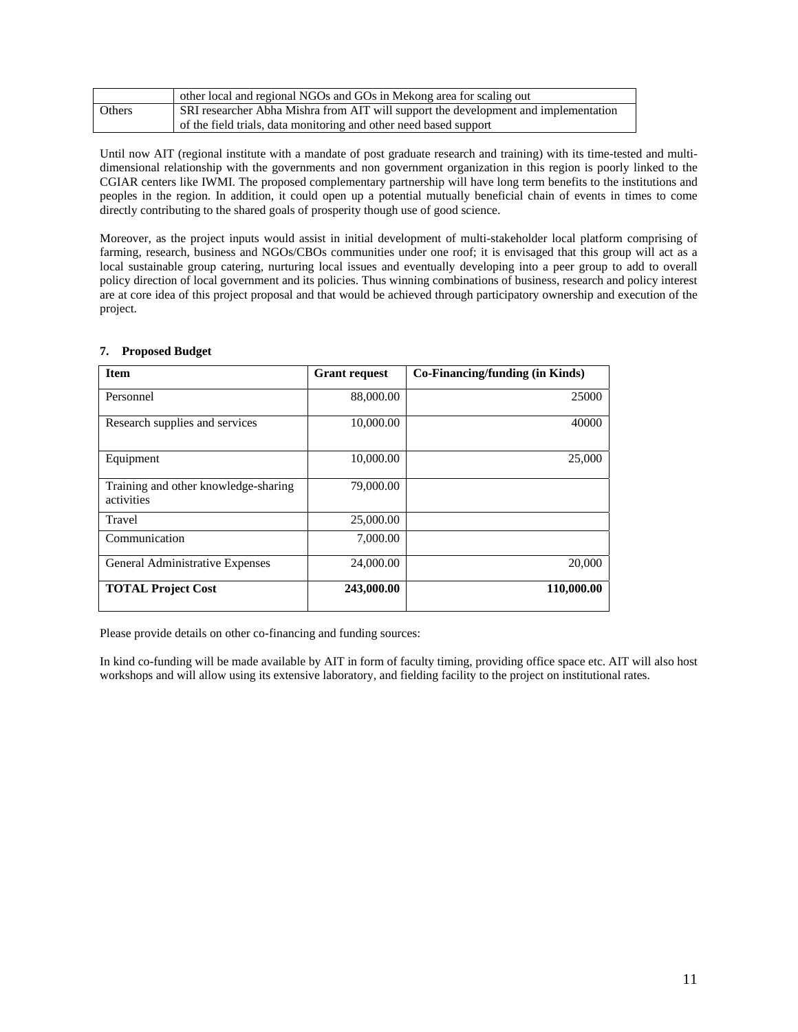|               | other local and regional NGOs and GOs in Mekong area for scaling out                |
|---------------|-------------------------------------------------------------------------------------|
| <b>Others</b> | SRI researcher Abha Mishra from AIT will support the development and implementation |
|               | of the field trials, data monitoring and other need based support                   |

Until now AIT (regional institute with a mandate of post graduate research and training) with its time-tested and multidimensional relationship with the governments and non government organization in this region is poorly linked to the CGIAR centers like IWMI. The proposed complementary partnership will have long term benefits to the institutions and peoples in the region. In addition, it could open up a potential mutually beneficial chain of events in times to come directly contributing to the shared goals of prosperity though use of good science.

Moreover, as the project inputs would assist in initial development of multi-stakeholder local platform comprising of farming, research, business and NGOs/CBOs communities under one roof; it is envisaged that this group will act as a local sustainable group catering, nurturing local issues and eventually developing into a peer group to add to overall policy direction of local government and its policies. Thus winning combinations of business, research and policy interest are at core idea of this project proposal and that would be achieved through participatory ownership and execution of the project.

| <b>Item</b>                                        | <b>Grant request</b> | Co-Financing/funding (in Kinds) |
|----------------------------------------------------|----------------------|---------------------------------|
| Personnel                                          | 88,000.00            | 25000                           |
| Research supplies and services                     | 10,000.00            | 40000                           |
| Equipment                                          | 10,000.00            | 25,000                          |
| Training and other knowledge-sharing<br>activities | 79,000.00            |                                 |
| Travel                                             | 25,000.00            |                                 |
| Communication                                      | 7,000.00             |                                 |
| General Administrative Expenses                    | 24,000.00            | 20,000                          |
| <b>TOTAL Project Cost</b>                          | 243,000.00           | 110,000.00                      |

#### **7. Proposed Budget**

Please provide details on other co-financing and funding sources:

In kind co-funding will be made available by AIT in form of faculty timing, providing office space etc. AIT will also host workshops and will allow using its extensive laboratory, and fielding facility to the project on institutional rates.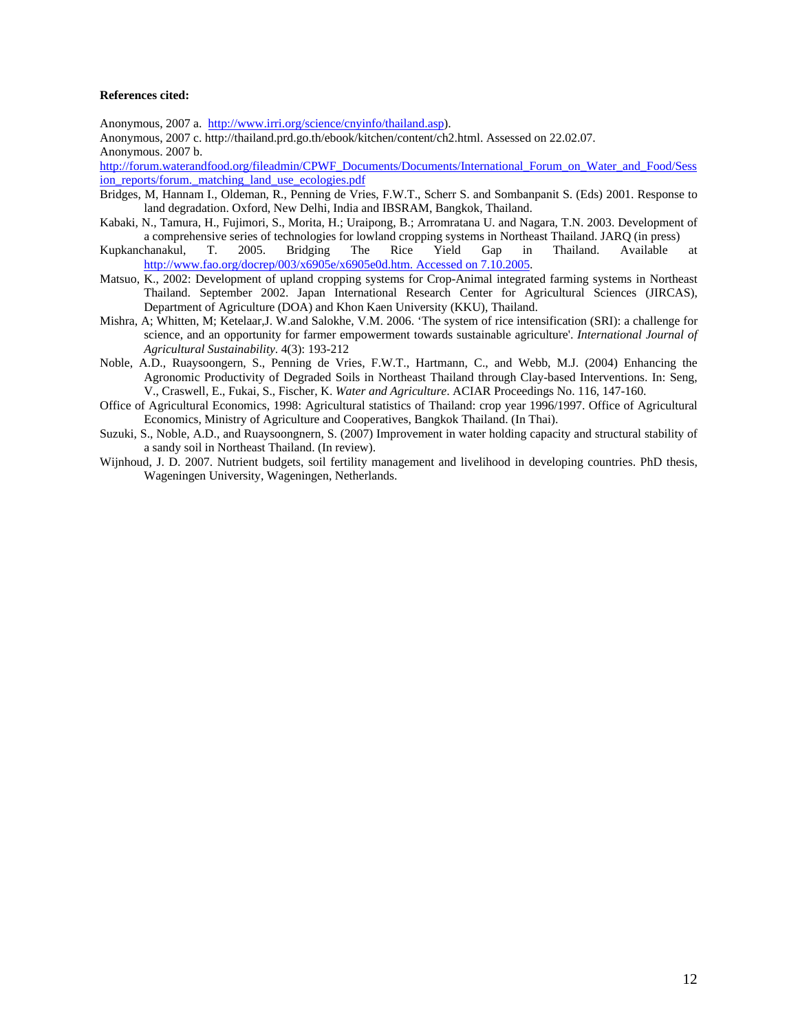#### **References cited:**

Anonymous, 2007 a. http://www.irri.org/science/cnyinfo/thailand.asp).

Anonymous, 2007 c. http://thailand.prd.go.th/ebook/kitchen/content/ch2.html. Assessed on 22.02.07. Anonymous. 2007 b.

http://forum.waterandfood.org/fileadmin/CPWF\_Documents/Documents/International\_Forum\_on\_Water\_and\_Food/Sess ion\_reports/forum.\_matching\_land\_use\_ecologies.pdf

- Bridges, M, Hannam I., Oldeman, R., Penning de Vries, F.W.T., Scherr S. and Sombanpanit S. (Eds) 2001. Response to land degradation. Oxford, New Delhi, India and IBSRAM, Bangkok, Thailand.
- Kabaki, N., Tamura, H., Fujimori, S., Morita, H.; Uraipong, B.; Arromratana U. and Nagara, T.N. 2003. Development of a comprehensive series of technologies for lowland cropping systems in Northeast Thailand. JARQ (in press)
- Kupkanchanakul, T. 2005. Bridging The Rice Yield Gap in Thailand. Available at http://www.fao.org/docrep/003/x6905e/x6905e0d.htm. Accessed on 7.10.2005.
- Matsuo, K., 2002: Development of upland cropping systems for Crop-Animal integrated farming systems in Northeast Thailand. September 2002. Japan International Research Center for Agricultural Sciences (JIRCAS), Department of Agriculture (DOA) and Khon Kaen University (KKU), Thailand.
- Mishra, A; Whitten, M; Ketelaar,J. W.and Salokhe, V.M. 2006. 'The system of rice intensification (SRI): a challenge for science, and an opportunity for farmer empowerment towards sustainable agriculture'. *International Journal of Agricultural Sustainability*. 4(3): 193-212
- Noble, A.D., Ruaysoongern, S., Penning de Vries, F.W.T., Hartmann, C., and Webb, M.J. (2004) Enhancing the Agronomic Productivity of Degraded Soils in Northeast Thailand through Clay-based Interventions. In: Seng, V., Craswell, E., Fukai, S., Fischer, K. *Water and Agriculture*. ACIAR Proceedings No. 116, 147-160.
- Office of Agricultural Economics, 1998: Agricultural statistics of Thailand: crop year 1996/1997. Office of Agricultural Economics, Ministry of Agriculture and Cooperatives, Bangkok Thailand. (In Thai).
- Suzuki, S., Noble, A.D., and Ruaysoongnern, S. (2007) Improvement in water holding capacity and structural stability of a sandy soil in Northeast Thailand. (In review).
- Wijnhoud, J. D. 2007. Nutrient budgets, soil fertility management and livelihood in developing countries. PhD thesis, Wageningen University, Wageningen, Netherlands.